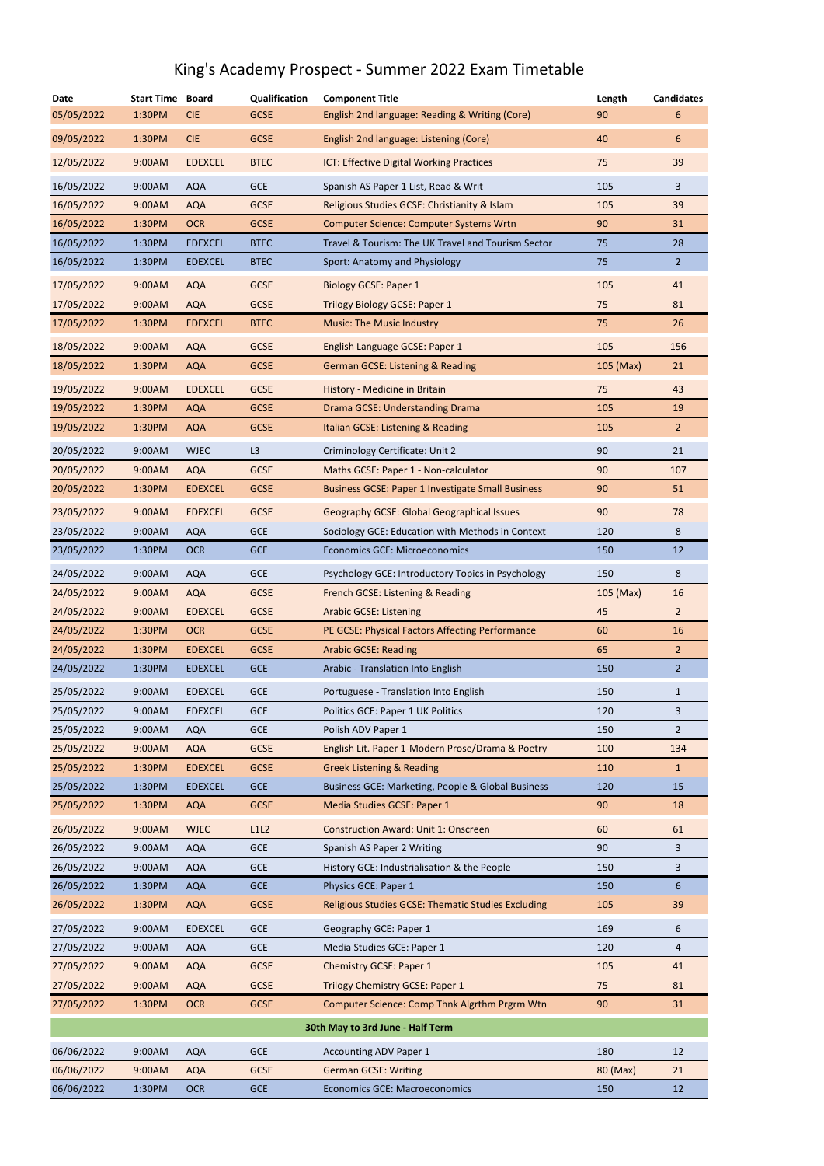| <b>Date</b>                      | <b>Start Time</b> | <b>Board</b>   | Qualification | <b>Component Title</b>                                    | Length    | <b>Candidates</b> |  |
|----------------------------------|-------------------|----------------|---------------|-----------------------------------------------------------|-----------|-------------------|--|
| 05/05/2022                       | 1:30PM            | <b>CIE</b>     | <b>GCSE</b>   | English 2nd language: Reading & Writing (Core)            | 90        | 6                 |  |
| 09/05/2022                       | 1:30PM            | <b>CIE</b>     | <b>GCSE</b>   | English 2nd language: Listening (Core)                    | 40        | 6                 |  |
| 12/05/2022                       | 9:00AM            | <b>EDEXCEL</b> | <b>BTEC</b>   | ICT: Effective Digital Working Practices                  | 75        | 39                |  |
| 16/05/2022                       | 9:00AM            | <b>AQA</b>     | <b>GCE</b>    | Spanish AS Paper 1 List, Read & Writ                      | 105       | $\overline{3}$    |  |
| 16/05/2022                       | 9:00AM            | <b>AQA</b>     | <b>GCSE</b>   | Religious Studies GCSE: Christianity & Islam              | 105       | 39                |  |
| 16/05/2022                       | 1:30PM            | <b>OCR</b>     | <b>GCSE</b>   | <b>Computer Science: Computer Systems Wrtn</b>            | 90        | 31                |  |
| 16/05/2022                       | 1:30PM            | <b>EDEXCEL</b> | <b>BTEC</b>   | Travel & Tourism: The UK Travel and Tourism Sector        | 75        | 28                |  |
| 16/05/2022                       | 1:30PM            | <b>EDEXCEL</b> | <b>BTEC</b>   | Sport: Anatomy and Physiology                             | 75        | $\overline{2}$    |  |
| 17/05/2022                       | 9:00AM            | <b>AQA</b>     | <b>GCSE</b>   | <b>Biology GCSE: Paper 1</b>                              | 105       | 41                |  |
| 17/05/2022                       | 9:00AM            | <b>AQA</b>     | <b>GCSE</b>   | <b>Trilogy Biology GCSE: Paper 1</b>                      | 75        | 81                |  |
| 17/05/2022                       | 1:30PM            | <b>EDEXCEL</b> | <b>BTEC</b>   | <b>Music: The Music Industry</b>                          | 75        | 26                |  |
| 18/05/2022                       | 9:00AM            | <b>AQA</b>     | <b>GCSE</b>   | English Language GCSE: Paper 1                            | 105       | 156               |  |
| 18/05/2022                       | 1:30PM            | <b>AQA</b>     | <b>GCSE</b>   | <b>German GCSE: Listening &amp; Reading</b>               | 105 (Max) | 21                |  |
| 19/05/2022                       | 9:00AM            | <b>EDEXCEL</b> | <b>GCSE</b>   | History - Medicine in Britain                             | 75        | 43                |  |
| 19/05/2022                       | 1:30PM            | <b>AQA</b>     | <b>GCSE</b>   | Drama GCSE: Understanding Drama                           | 105       | 19                |  |
| 19/05/2022                       | 1:30PM            | <b>AQA</b>     | <b>GCSE</b>   | Italian GCSE: Listening & Reading                         | 105       | 2 <sup>1</sup>    |  |
| 20/05/2022                       | 9:00AM            | <b>WJEC</b>    | L3            | Criminology Certificate: Unit 2                           | 90        | 21                |  |
| 20/05/2022                       | 9:00AM            | <b>AQA</b>     | <b>GCSE</b>   | Maths GCSE: Paper 1 - Non-calculator                      | 90        | 107               |  |
| 20/05/2022                       | 1:30PM            | <b>EDEXCEL</b> | <b>GCSE</b>   | <b>Business GCSE: Paper 1 Investigate Small Business</b>  | 90        | 51                |  |
| 23/05/2022                       | 9:00AM            | <b>EDEXCEL</b> | <b>GCSE</b>   | <b>Geography GCSE: Global Geographical Issues</b>         | 90        | 78                |  |
| 23/05/2022                       | 9:00AM            | <b>AQA</b>     | <b>GCE</b>    | Sociology GCE: Education with Methods in Context          | 120       | 8                 |  |
| 23/05/2022                       | 1:30PM            | <b>OCR</b>     | <b>GCE</b>    | <b>Economics GCE: Microeconomics</b>                      | 150       | 12                |  |
| 24/05/2022                       | 9:00AM            | <b>AQA</b>     | <b>GCE</b>    | Psychology GCE: Introductory Topics in Psychology         | 150       | 8                 |  |
| 24/05/2022                       | 9:00AM            | <b>AQA</b>     | <b>GCSE</b>   | French GCSE: Listening & Reading                          | 105 (Max) | 16                |  |
| 24/05/2022                       | 9:00AM            | <b>EDEXCEL</b> | <b>GCSE</b>   | <b>Arabic GCSE: Listening</b>                             | 45        | 2 <sup>2</sup>    |  |
| 24/05/2022                       | 1:30PM            | <b>OCR</b>     | <b>GCSE</b>   | PE GCSE: Physical Factors Affecting Performance           | 60        | 16                |  |
| 24/05/2022                       | 1:30PM            | <b>EDEXCEL</b> | <b>GCSE</b>   | <b>Arabic GCSE: Reading</b>                               | 65        | 2 <sup>1</sup>    |  |
| 24/05/2022                       | 1:30PM            | <b>EDEXCEL</b> | <b>GCE</b>    | Arabic - Translation Into English                         | 150       | $\overline{a}$    |  |
| 25/05/2022                       | 9:00AM            | <b>EDEXCEL</b> | <b>GCE</b>    | Portuguese - Translation Into English                     | 150       | $\mathbf{1}$      |  |
| 25/05/2022                       | 9:00AM            | <b>EDEXCEL</b> | <b>GCE</b>    | Politics GCE: Paper 1 UK Politics                         | 120       | 3                 |  |
| 25/05/2022                       | 9:00AM            | <b>AQA</b>     | <b>GCE</b>    | Polish ADV Paper 1                                        | 150       | $\overline{2}$    |  |
| 25/05/2022                       | 9:00AM            | <b>AQA</b>     | <b>GCSE</b>   | English Lit. Paper 1-Modern Prose/Drama & Poetry          | 100       | 134               |  |
| 25/05/2022                       | 1:30PM            | <b>EDEXCEL</b> | <b>GCSE</b>   | <b>Greek Listening &amp; Reading</b>                      | 110       | $\mathbf{1}$      |  |
| 25/05/2022                       | 1:30PM            | <b>EDEXCEL</b> | <b>GCE</b>    | Business GCE: Marketing, People & Global Business         | 120       | 15                |  |
| 25/05/2022                       | 1:30PM            | <b>AQA</b>     | <b>GCSE</b>   | Media Studies GCSE: Paper 1                               | 90        | 18                |  |
| 26/05/2022                       | 9:00AM            | <b>WJEC</b>    | L1L2          | <b>Construction Award: Unit 1: Onscreen</b>               | 60        | 61                |  |
| 26/05/2022                       | 9:00AM            | <b>AQA</b>     | <b>GCE</b>    | Spanish AS Paper 2 Writing                                | 90        | 3                 |  |
| 26/05/2022                       | 9:00AM            | <b>AQA</b>     | <b>GCE</b>    | History GCE: Industrialisation & the People               | 150       | 3                 |  |
| 26/05/2022                       | 1:30PM            | <b>AQA</b>     | <b>GCE</b>    | Physics GCE: Paper 1                                      | 150       | 6                 |  |
| 26/05/2022                       | 1:30PM            | <b>AQA</b>     | <b>GCSE</b>   | <b>Religious Studies GCSE: Thematic Studies Excluding</b> | 105       | 39                |  |
| 27/05/2022                       | 9:00AM            | <b>EDEXCEL</b> | <b>GCE</b>    | Geography GCE: Paper 1                                    | 169       | 6                 |  |
| 27/05/2022                       | 9:00AM            | <b>AQA</b>     | <b>GCE</b>    | Media Studies GCE: Paper 1                                | 120       | 4                 |  |
| 27/05/2022                       | 9:00AM            | <b>AQA</b>     | <b>GCSE</b>   | <b>Chemistry GCSE: Paper 1</b>                            | 105       | 41                |  |
| 27/05/2022                       | 9:00AM            | <b>AQA</b>     | <b>GCSE</b>   | Trilogy Chemistry GCSE: Paper 1                           | 75        | 81                |  |
| 27/05/2022                       | 1:30PM            | <b>OCR</b>     | <b>GCSE</b>   | Computer Science: Comp Thnk Algrthm Prgrm Wtn             | 90        | 31                |  |
| 30th May to 3rd June - Half Term |                   |                |               |                                                           |           |                   |  |
| 06/06/2022                       | 9:00AM            | <b>AQA</b>     | <b>GCE</b>    | <b>Accounting ADV Paper 1</b>                             | 180       | 12                |  |
| 06/06/2022                       | 9:00AM            | <b>AQA</b>     | <b>GCSE</b>   | <b>German GCSE: Writing</b>                               | 80 (Max)  | 21                |  |
| 06/06/2022                       | 1:30PM            | <b>OCR</b>     | <b>GCE</b>    | <b>Economics GCE: Macroeconomics</b>                      | 150       | 12                |  |

## King's Academy Prospect - Summer 2022 Exam Timetable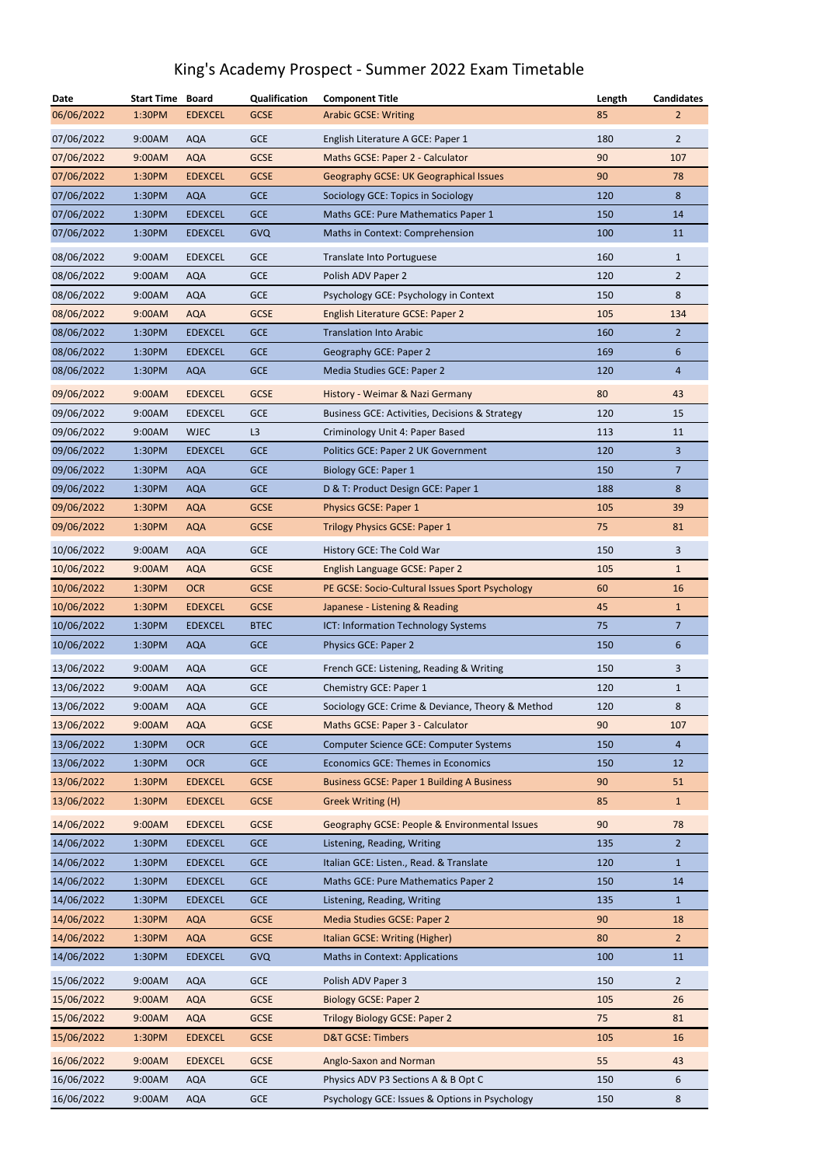## King's Academy Prospect - Summer 2022 Exam Timetable

| <b>Date</b> | <b>Start Time</b> | <b>Board</b>   | Qualification | <b>Component Title</b>                            | Length | <b>Candidates</b> |
|-------------|-------------------|----------------|---------------|---------------------------------------------------|--------|-------------------|
| 06/06/2022  | 1:30PM            | <b>EDEXCEL</b> | <b>GCSE</b>   | <b>Arabic GCSE: Writing</b>                       | 85     | $\overline{2}$    |
| 07/06/2022  | 9:00AM            | <b>AQA</b>     | <b>GCE</b>    | English Literature A GCE: Paper 1                 | 180    | $\overline{2}$    |
| 07/06/2022  | 9:00AM            | <b>AQA</b>     | <b>GCSE</b>   | Maths GCSE: Paper 2 - Calculator                  | 90     | 107               |
| 07/06/2022  | 1:30PM            | <b>EDEXCEL</b> | <b>GCSE</b>   | Geography GCSE: UK Geographical Issues            | 90     | 78                |
| 07/06/2022  | 1:30PM            | <b>AQA</b>     | <b>GCE</b>    | Sociology GCE: Topics in Sociology                | 120    | 8                 |
| 07/06/2022  | 1:30PM            | <b>EDEXCEL</b> | <b>GCE</b>    | Maths GCE: Pure Mathematics Paper 1               | 150    | 14                |
| 07/06/2022  | 1:30PM            | <b>EDEXCEL</b> | <b>GVQ</b>    | Maths in Context: Comprehension                   | 100    | 11                |
| 08/06/2022  | 9:00AM            | <b>EDEXCEL</b> | <b>GCE</b>    | Translate Into Portuguese                         | 160    | $\mathbf{1}$      |
| 08/06/2022  | 9:00AM            | <b>AQA</b>     | <b>GCE</b>    | Polish ADV Paper 2                                | 120    | $\overline{2}$    |
| 08/06/2022  | 9:00AM            | <b>AQA</b>     | <b>GCE</b>    | Psychology GCE: Psychology in Context             | 150    | 8                 |
| 08/06/2022  | 9:00AM            | <b>AQA</b>     | <b>GCSE</b>   | <b>English Literature GCSE: Paper 2</b>           | 105    | 134               |
| 08/06/2022  | 1:30PM            | <b>EDEXCEL</b> | <b>GCE</b>    | <b>Translation Into Arabic</b>                    | 160    | $\overline{2}$    |
| 08/06/2022  | 1:30PM            | <b>EDEXCEL</b> | <b>GCE</b>    | Geography GCE: Paper 2                            | 169    | 6                 |
| 08/06/2022  | 1:30PM            | <b>AQA</b>     | <b>GCE</b>    | Media Studies GCE: Paper 2                        | 120    | $\overline{4}$    |
|             |                   |                |               |                                                   |        |                   |
| 09/06/2022  | 9:00AM            | <b>EDEXCEL</b> | <b>GCSE</b>   | History - Weimar & Nazi Germany                   | 80     | 43                |
| 09/06/2022  | 9:00AM            | <b>EDEXCEL</b> | <b>GCE</b>    | Business GCE: Activities, Decisions & Strategy    | 120    | 15                |
| 09/06/2022  | 9:00AM            | <b>WJEC</b>    | L3            | Criminology Unit 4: Paper Based                   | 113    | 11                |
| 09/06/2022  | 1:30PM            | <b>EDEXCEL</b> | <b>GCE</b>    | Politics GCE: Paper 2 UK Government               | 120    | $\overline{3}$    |
| 09/06/2022  | 1:30PM            | <b>AQA</b>     | <b>GCE</b>    | <b>Biology GCE: Paper 1</b>                       | 150    | $\overline{7}$    |
| 09/06/2022  | 1:30PM            | <b>AQA</b>     | <b>GCE</b>    | D & T: Product Design GCE: Paper 1                | 188    | 8                 |
| 09/06/2022  | 1:30PM            | <b>AQA</b>     | <b>GCSE</b>   | Physics GCSE: Paper 1                             | 105    | 39                |
| 09/06/2022  | 1:30PM            | <b>AQA</b>     | <b>GCSE</b>   | <b>Trilogy Physics GCSE: Paper 1</b>              | 75     | 81                |
| 10/06/2022  | 9:00AM            | <b>AQA</b>     | <b>GCE</b>    | History GCE: The Cold War                         | 150    | 3                 |
| 10/06/2022  | 9:00AM            | <b>AQA</b>     | <b>GCSE</b>   | English Language GCSE: Paper 2                    | 105    | $\mathbf{1}$      |
| 10/06/2022  | 1:30PM            | <b>OCR</b>     | <b>GCSE</b>   | PE GCSE: Socio-Cultural Issues Sport Psychology   | 60     | 16                |
| 10/06/2022  | 1:30PM            | <b>EDEXCEL</b> | <b>GCSE</b>   | Japanese - Listening & Reading                    | 45     | $\mathbf{1}$      |
| 10/06/2022  | 1:30PM            | <b>EDEXCEL</b> | <b>BTEC</b>   | ICT: Information Technology Systems               | 75     | $\overline{7}$    |
| 10/06/2022  | 1:30PM            | <b>AQA</b>     | <b>GCE</b>    | Physics GCE: Paper 2                              | 150    | 6                 |
| 13/06/2022  | 9:00AM            | <b>AQA</b>     | <b>GCE</b>    | French GCE: Listening, Reading & Writing          | 150    | 3                 |
| 13/06/2022  | 9:00AM            | <b>AQA</b>     | <b>GCE</b>    | Chemistry GCE: Paper 1                            | 120    | $\mathbf{1}$      |
| 13/06/2022  | 9:00AM            | <b>AQA</b>     | <b>GCE</b>    | Sociology GCE: Crime & Deviance, Theory & Method  | 120    | 8                 |
| 13/06/2022  | 9:00AM            | <b>AQA</b>     | <b>GCSE</b>   | Maths GCSE: Paper 3 - Calculator                  | 90     | 107               |
| 13/06/2022  | 1:30PM            | <b>OCR</b>     | <b>GCE</b>    | Computer Science GCE: Computer Systems            | 150    | $\overline{4}$    |
| 13/06/2022  | 1:30PM            | <b>OCR</b>     | <b>GCE</b>    | <b>Economics GCE: Themes in Economics</b>         | 150    | 12                |
| 13/06/2022  | 1:30PM            | <b>EDEXCEL</b> | <b>GCSE</b>   | <b>Business GCSE: Paper 1 Building A Business</b> | 90     | 51                |
| 13/06/2022  | 1:30PM            | <b>EDEXCEL</b> | <b>GCSE</b>   | Greek Writing (H)                                 | 85     | $\mathbf{1}$      |
| 14/06/2022  | 9:00AM            | <b>EDEXCEL</b> | <b>GCSE</b>   | Geography GCSE: People & Environmental Issues     | 90     | 78                |
| 14/06/2022  | 1:30PM            | <b>EDEXCEL</b> | <b>GCE</b>    | Listening, Reading, Writing                       | 135    | $\overline{2}$    |
| 14/06/2022  | 1:30PM            | <b>EDEXCEL</b> | <b>GCE</b>    | Italian GCE: Listen., Read. & Translate           | 120    | $\mathbf{1}$      |
| 14/06/2022  | 1:30PM            | <b>EDEXCEL</b> | <b>GCE</b>    | Maths GCE: Pure Mathematics Paper 2               | 150    | 14                |
| 14/06/2022  | 1:30PM            | <b>EDEXCEL</b> | <b>GCE</b>    | Listening, Reading, Writing                       | 135    | $\mathbf{1}$      |
| 14/06/2022  | 1:30PM            | <b>AQA</b>     | <b>GCSE</b>   | <b>Media Studies GCSE: Paper 2</b>                | 90     | 18                |
| 14/06/2022  | 1:30PM            | <b>AQA</b>     | <b>GCSE</b>   | Italian GCSE: Writing (Higher)                    | 80     | $\overline{2}$    |
| 14/06/2022  | 1:30PM            | <b>EDEXCEL</b> | <b>GVQ</b>    | <b>Maths in Context: Applications</b>             | 100    | 11                |
| 15/06/2022  | 9:00AM            | <b>AQA</b>     | <b>GCE</b>    | Polish ADV Paper 3                                | 150    | $\overline{2}$    |
| 15/06/2022  | 9:00AM            | <b>AQA</b>     | <b>GCSE</b>   | <b>Biology GCSE: Paper 2</b>                      | 105    | 26                |
| 15/06/2022  | 9:00AM            | <b>AQA</b>     | <b>GCSE</b>   | <b>Trilogy Biology GCSE: Paper 2</b>              | 75     | 81                |
| 15/06/2022  | 1:30PM            | <b>EDEXCEL</b> | <b>GCSE</b>   | <b>D&amp;T GCSE: Timbers</b>                      | 105    | 16                |
| 16/06/2022  | 9:00AM            | <b>EDEXCEL</b> | <b>GCSE</b>   | Anglo-Saxon and Norman                            | 55     | 43                |
| 16/06/2022  | 9:00AM            | <b>AQA</b>     | <b>GCE</b>    | Physics ADV P3 Sections A & B Opt C               | 150    | 6                 |
| 16/06/2022  | 9:00AM            | <b>AQA</b>     | <b>GCE</b>    | Psychology GCE: Issues & Options in Psychology    | 150    | 8                 |